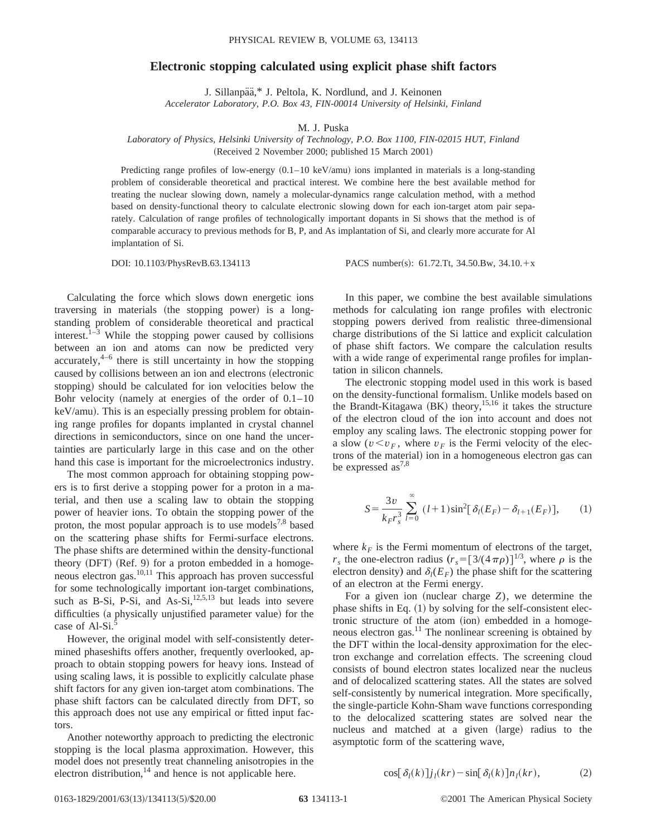## **Electronic stopping calculated using explicit phase shift factors**

J. Sillanpää,\* J. Peltola, K. Nordlund, and J. Keinonen *Accelerator Laboratory, P.O. Box 43, FIN-00014 University of Helsinki, Finland*

M. J. Puska

## *Laboratory of Physics, Helsinki University of Technology, P.O. Box 1100, FIN-02015 HUT, Finland* (Received 2 November 2000; published 15 March 2001)

Predicting range profiles of low-energy  $(0.1-10 \text{ keV/amu})$  ions implanted in materials is a long-standing problem of considerable theoretical and practical interest. We combine here the best available method for treating the nuclear slowing down, namely a molecular-dynamics range calculation method, with a method based on density-functional theory to calculate electronic slowing down for each ion-target atom pair separately. Calculation of range profiles of technologically important dopants in Si shows that the method is of comparable accuracy to previous methods for B, P, and As implantation of Si, and clearly more accurate for Al implantation of Si.

DOI:  $10.1103/PhysRevB.63.134113$  PACS number(s): 61.72.Tt, 34.50.Bw, 34.10. $+x$ 

Calculating the force which slows down energetic ions traversing in materials (the stopping power) is a longstanding problem of considerable theoretical and practical interest. $1-3$  While the stopping power caused by collisions between an ion and atoms can now be predicted very accurately, $4-6$  there is still uncertainty in how the stopping caused by collisions between an ion and electrons (electronic stopping) should be calculated for ion velocities below the Bohr velocity (namely at energies of the order of  $0.1-10$ )  $keV/amu$ ). This is an especially pressing problem for obtaining range profiles for dopants implanted in crystal channel directions in semiconductors, since on one hand the uncertainties are particularly large in this case and on the other hand this case is important for the microelectronics industry.

The most common approach for obtaining stopping powers is to first derive a stopping power for a proton in a material, and then use a scaling law to obtain the stopping power of heavier ions. To obtain the stopping power of the proton, the most popular approach is to use models<sup>7,8</sup> based on the scattering phase shifts for Fermi-surface electrons. The phase shifts are determined within the density-functional theory  $(DFT)$   $(Ref. 9)$  for a proton embedded in a homogeneous electron gas.10,11 This approach has proven successful for some technologically important ion-target combinations, such as B-Si, P-Si, and  $As-Si,$ <sup>12,5,13</sup> but leads into severe difficulties (a physically unjustified parameter value) for the case of Al-Si.<sup>5</sup>

However, the original model with self-consistently determined phaseshifts offers another, frequently overlooked, approach to obtain stopping powers for heavy ions. Instead of using scaling laws, it is possible to explicitly calculate phase shift factors for any given ion-target atom combinations. The phase shift factors can be calculated directly from DFT, so this approach does not use any empirical or fitted input factors.

Another noteworthy approach to predicting the electronic stopping is the local plasma approximation. However, this model does not presently treat channeling anisotropies in the electron distribution, $14$  and hence is not applicable here.

In this paper, we combine the best available simulations methods for calculating ion range profiles with electronic stopping powers derived from realistic three-dimensional charge distributions of the Si lattice and explicit calculation of phase shift factors. We compare the calculation results with a wide range of experimental range profiles for implantation in silicon channels.

The electronic stopping model used in this work is based on the density-functional formalism. Unlike models based on the Brandt-Kitagawa  $(BK)$  theory,<sup>15,16</sup> it takes the structure of the electron cloud of the ion into account and does not employ any scaling laws. The electronic stopping power for a slow  $(v \le v_F)$ , where  $v_F$  is the Fermi velocity of the electrons of the material) ion in a homogeneous electron gas can be expressed as<sup>7,8</sup>

$$
S = \frac{3v}{k_F r_s^3} \sum_{l=0}^{\infty} (l+1) \sin^2[\delta_l(E_F) - \delta_{l+1}(E_F)],
$$
 (1)

where  $k_F$  is the Fermi momentum of electrons of the target,  $r_s$  the one-electron radius  $(r_s = [3/(4 \pi \rho)]^{1/3}$ , where  $\rho$  is the electron density) and  $\delta_l(E_F)$  the phase shift for the scattering of an electron at the Fermi energy.

For a given ion (nuclear charge  $Z$ ), we determine the phase shifts in Eq.  $(1)$  by solving for the self-consistent electronic structure of the atom (ion) embedded in a homogeneous electron gas. $^{11}$  The nonlinear screening is obtained by the DFT within the local-density approximation for the electron exchange and correlation effects. The screening cloud consists of bound electron states localized near the nucleus and of delocalized scattering states. All the states are solved self-consistently by numerical integration. More specifically, the single-particle Kohn-Sham wave functions corresponding to the delocalized scattering states are solved near the nucleus and matched at a given (large) radius to the asymptotic form of the scattering wave,

$$
\cos[\delta_l(k)]j_l(kr) - \sin[\delta_l(k)]n_l(kr), \qquad (2)
$$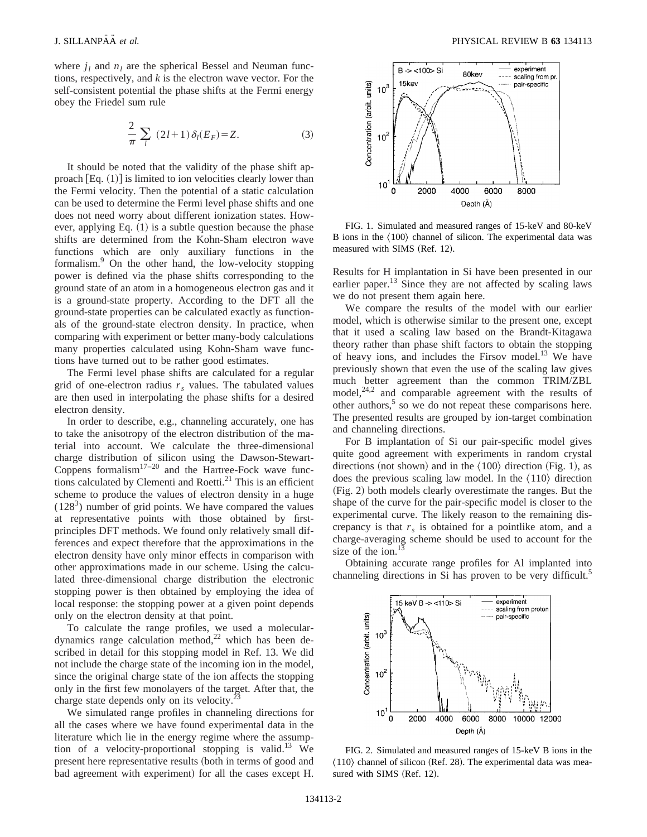where  $j_l$  and  $n_l$  are the spherical Bessel and Neuman functions, respectively, and *k* is the electron wave vector. For the self-consistent potential the phase shifts at the Fermi energy obey the Friedel sum rule

$$
\frac{2}{\pi} \sum_{l} (2l+1) \delta_l(E_F) = Z.
$$
 (3)

It should be noted that the validity of the phase shift approach  $[Eq. (1)]$  is limited to ion velocities clearly lower than the Fermi velocity. Then the potential of a static calculation can be used to determine the Fermi level phase shifts and one does not need worry about different ionization states. However, applying Eq.  $(1)$  is a subtle question because the phase shifts are determined from the Kohn-Sham electron wave functions which are only auxiliary functions in the formalism.9 On the other hand, the low-velocity stopping power is defined via the phase shifts corresponding to the ground state of an atom in a homogeneous electron gas and it is a ground-state property. According to the DFT all the ground-state properties can be calculated exactly as functionals of the ground-state electron density. In practice, when comparing with experiment or better many-body calculations many properties calculated using Kohn-Sham wave functions have turned out to be rather good estimates.

The Fermi level phase shifts are calculated for a regular grid of one-electron radius  $r<sub>s</sub>$  values. The tabulated values are then used in interpolating the phase shifts for a desired electron density.

In order to describe, e.g., channeling accurately, one has to take the anisotropy of the electron distribution of the material into account. We calculate the three-dimensional charge distribution of silicon using the Dawson-Stewart-Coppens formalism $17-20$  and the Hartree-Fock wave functions calculated by Clementi and Roetti. $^{21}$  This is an efficient scheme to produce the values of electron density in a huge  $(128<sup>3</sup>)$  number of grid points. We have compared the values at representative points with those obtained by firstprinciples DFT methods. We found only relatively small differences and expect therefore that the approximations in the electron density have only minor effects in comparison with other approximations made in our scheme. Using the calculated three-dimensional charge distribution the electronic stopping power is then obtained by employing the idea of local response: the stopping power at a given point depends only on the electron density at that point.

To calculate the range profiles, we used a moleculardynamics range calculation method, $22$  which has been described in detail for this stopping model in Ref. 13. We did not include the charge state of the incoming ion in the model, since the original charge state of the ion affects the stopping only in the first few monolayers of the target. After that, the charge state depends only on its velocity.<sup>23</sup>

We simulated range profiles in channeling directions for all the cases where we have found experimental data in the literature which lie in the energy regime where the assumption of a velocity-proportional stopping is valid.<sup>13</sup> We present here representative results (both in terms of good and bad agreement with experiment) for all the cases except H.



FIG. 1. Simulated and measured ranges of 15-keV and 80-keV B ions in the  $\langle 100 \rangle$  channel of silicon. The experimental data was measured with SIMS (Ref. 12).

Results for H implantation in Si have been presented in our earlier paper.<sup>13</sup> Since they are not affected by scaling laws we do not present them again here.

We compare the results of the model with our earlier model, which is otherwise similar to the present one, except that it used a scaling law based on the Brandt-Kitagawa theory rather than phase shift factors to obtain the stopping of heavy ions, and includes the Firsov model. $^{13}$  We have previously shown that even the use of the scaling law gives much better agreement than the common TRIM/ZBL model, $24,2$  and comparable agreement with the results of other authors, $5$  so we do not repeat these comparisons here. The presented results are grouped by ion-target combination and channeling directions.

For B implantation of Si our pair-specific model gives quite good agreement with experiments in random crystal directions (not shown) and in the  $\langle 100 \rangle$  direction (Fig. 1), as does the previous scaling law model. In the  $\langle 110 \rangle$  direction ~Fig. 2! both models clearly overestimate the ranges. But the shape of the curve for the pair-specific model is closer to the experimental curve. The likely reason to the remaining discrepancy is that  $r<sub>s</sub>$  is obtained for a pointlike atom, and a charge-averaging scheme should be used to account for the size of the ion. $^{13}$ 

Obtaining accurate range profiles for Al implanted into channeling directions in Si has proven to be very difficult.<sup>5</sup>



FIG. 2. Simulated and measured ranges of 15-keV B ions in the  $\langle 110 \rangle$  channel of silicon (Ref. 28). The experimental data was measured with SIMS (Ref. 12).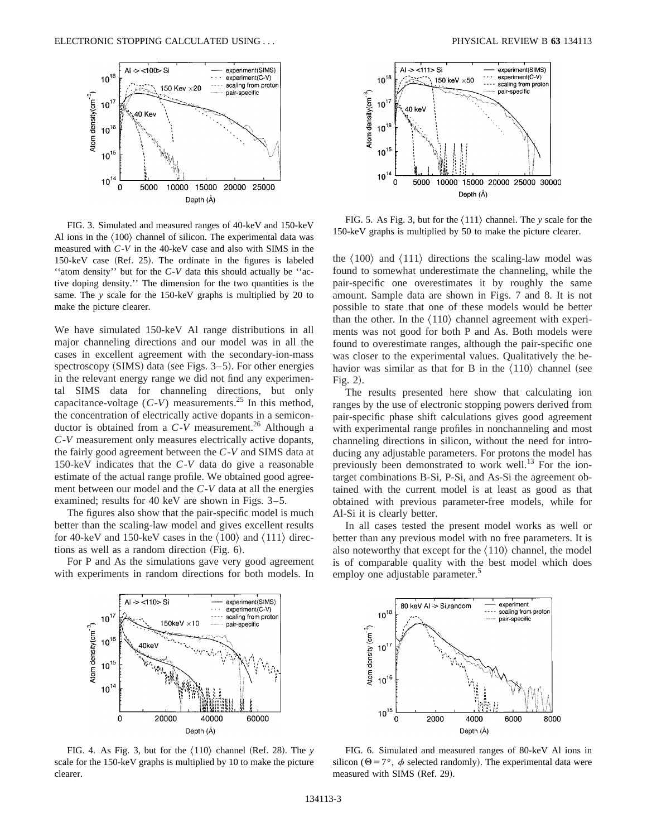

FIG. 3. Simulated and measured ranges of 40-keV and 150-keV Al ions in the  $\langle 100 \rangle$  channel of silicon. The experimental data was measured with *C*-*V* in the 40-keV case and also with SIMS in the  $150$ -keV case (Ref. 25). The ordinate in the figures is labeled ''atom density'' but for the *C*-*V* data this should actually be ''active doping density.'' The dimension for the two quantities is the same. The *y* scale for the 150-keV graphs is multiplied by 20 to make the picture clearer.

We have simulated 150-keV Al range distributions in all major channeling directions and our model was in all the cases in excellent agreement with the secondary-ion-mass spectroscopy  $(SIMS)$  data (see Figs. 3–5). For other energies in the relevant energy range we did not find any experimental SIMS data for channeling directions, but only capacitance-voltage  $(C-V)$  measurements.<sup>25</sup> In this method, the concentration of electrically active dopants in a semiconductor is obtained from a  $C-V$  measurement.<sup>26</sup> Although a *C*-*V* measurement only measures electrically active dopants, the fairly good agreement between the *C*-*V* and SIMS data at 150-keV indicates that the *C*-*V* data do give a reasonable estimate of the actual range profile. We obtained good agreement between our model and the *C*-*V* data at all the energies examined; results for 40 keV are shown in Figs. 3–5.

The figures also show that the pair-specific model is much better than the scaling-law model and gives excellent results for 40-keV and 150-keV cases in the  $\langle 100 \rangle$  and  $\langle 111 \rangle$  directions as well as a random direction  $(Fig. 6)$ .

For P and As the simulations gave very good agreement with experiments in random directions for both models. In



FIG. 5. As Fig. 3, but for the  $\langle 111 \rangle$  channel. The *y* scale for the 150-keV graphs is multiplied by 50 to make the picture clearer.

the  $\langle 100 \rangle$  and  $\langle 111 \rangle$  directions the scaling-law model was found to somewhat underestimate the channeling, while the pair-specific one overestimates it by roughly the same amount. Sample data are shown in Figs. 7 and 8. It is not possible to state that one of these models would be better than the other. In the  $\langle 110 \rangle$  channel agreement with experiments was not good for both P and As. Both models were found to overestimate ranges, although the pair-specific one was closer to the experimental values. Qualitatively the behavior was similar as that for B in the  $\langle 110 \rangle$  channel (see Fig.  $2$ ).

The results presented here show that calculating ion ranges by the use of electronic stopping powers derived from pair-specific phase shift calculations gives good agreement with experimental range profiles in nonchanneling and most channeling directions in silicon, without the need for introducing any adjustable parameters. For protons the model has previously been demonstrated to work well.<sup>13</sup> For the iontarget combinations B-Si, P-Si, and As-Si the agreement obtained with the current model is at least as good as that obtained with previous parameter-free models, while for Al-Si it is clearly better.

In all cases tested the present model works as well or better than any previous model with no free parameters. It is also noteworthy that except for the  $\langle 110 \rangle$  channel, the model is of comparable quality with the best model which does employ one adjustable parameter.<sup>5</sup>



FIG. 4. As Fig. 3, but for the  $\langle 110 \rangle$  channel (Ref. 28). The *y* scale for the 150-keV graphs is multiplied by 10 to make the picture clearer.



FIG. 6. Simulated and measured ranges of 80-keV Al ions in silicon ( $\Theta = 7^{\circ}$ ,  $\phi$  selected randomly). The experimental data were measured with SIMS (Ref. 29).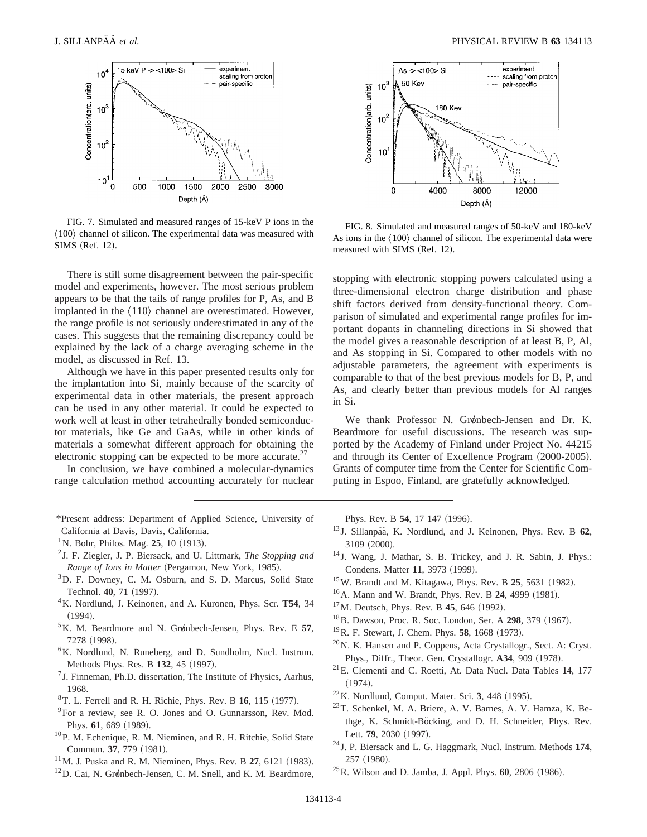

FIG. 7. Simulated and measured ranges of 15-keV P ions in the  $\langle 100 \rangle$  channel of silicon. The experimental data was measured with SIMS (Ref. 12).

There is still some disagreement between the pair-specific model and experiments, however. The most serious problem appears to be that the tails of range profiles for P, As, and B implanted in the  $\langle 110 \rangle$  channel are overestimated. However, the range profile is not seriously underestimated in any of the cases. This suggests that the remaining discrepancy could be explained by the lack of a charge averaging scheme in the model, as discussed in Ref. 13.

Although we have in this paper presented results only for the implantation into Si, mainly because of the scarcity of experimental data in other materials, the present approach can be used in any other material. It could be expected to work well at least in other tetrahedrally bonded semiconductor materials, like Ge and GaAs, while in other kinds of materials a somewhat different approach for obtaining the electronic stopping can be expected to be more accurate. $27$ 

In conclusion, we have combined a molecular-dynamics range calculation method accounting accurately for nuclear

- \*Present address: Department of Applied Science, University of California at Davis, Davis, California.
- <sup>1</sup>N. Bohr, Philos. Mag. **25**, 10 (1913).
- <sup>2</sup> J. F. Ziegler, J. P. Biersack, and U. Littmark, *The Stopping and Range of Ions in Matter* (Pergamon, New York, 1985).
- <sup>3</sup>D. F. Downey, C. M. Osburn, and S. D. Marcus, Solid State Technol. **40**, 71 (1997).
- 4K. Nordlund, J. Keinonen, and A. Kuronen, Phys. Scr. **T54**, 34  $(1994).$
- <sup>5</sup>K. M. Beardmore and N. Grønbech-Jensen, Phys. Rev. E 57, 7278 (1998).
- 6K. Nordlund, N. Runeberg, and D. Sundholm, Nucl. Instrum. Methods Phys. Res. B 132, 45 (1997).
- $<sup>7</sup>$  J. Finneman, Ph.D. dissertation, The Institute of Physics, Aarhus,</sup> 1968.
- <sup>8</sup>T. L. Ferrell and R. H. Richie, Phys. Rev. B 16, 115 (1977).
- <sup>9</sup>For a review, see R. O. Jones and O. Gunnarsson, Rev. Mod. Phys. 61, 689 (1989).
- <sup>10</sup>P. M. Echenique, R. M. Nieminen, and R. H. Ritchie, Solid State Commun. 37, 779 (1981).
- $11$ M. J. Puska and R. M. Nieminen, Phys. Rev. B 27, 6121 (1983).
- $12$ D. Cai, N. Grønbech-Jensen, C. M. Snell, and K. M. Beardmore,



FIG. 8. Simulated and measured ranges of 50-keV and 180-keV As ions in the  $\langle 100 \rangle$  channel of silicon. The experimental data were measured with SIMS (Ref. 12).

stopping with electronic stopping powers calculated using a three-dimensional electron charge distribution and phase shift factors derived from density-functional theory. Comparison of simulated and experimental range profiles for important dopants in channeling directions in Si showed that the model gives a reasonable description of at least B, P, Al, and As stopping in Si. Compared to other models with no adjustable parameters, the agreement with experiments is comparable to that of the best previous models for B, P, and As, and clearly better than previous models for Al ranges in Si.

We thank Professor N. Grønbech-Jensen and Dr. K. Beardmore for useful discussions. The research was supported by the Academy of Finland under Project No. 44215 and through its Center of Excellence Program  $(2000-2005)$ . Grants of computer time from the Center for Scientific Computing in Espoo, Finland, are gratefully acknowledged.

Phys. Rev. B 54, 17 147 (1996).

- <sup>13</sup> J. Sillanpää, K. Nordlund, and J. Keinonen, Phys. Rev. B 62, 3109 (2000).
- <sup>14</sup> J. Wang, J. Mathar, S. B. Trickey, and J. R. Sabin, J. Phys.: Condens. Matter 11, 3973 (1999).
- <sup>15</sup>W. Brandt and M. Kitagawa, Phys. Rev. B **25**, 5631 (1982).
- <sup>16</sup>A. Mann and W. Brandt, Phys. Rev. B **24**, 4999 (1981).
- <sup>17</sup>M. Deutsch, Phys. Rev. B **45**, 646 (1992).
- <sup>18</sup>B. Dawson, Proc. R. Soc. London, Ser. A **298**, 379 (1967).
- <sup>19</sup>R. F. Stewart, J. Chem. Phys. **58**, 1668 (1973).
- 20N. K. Hansen and P. Coppens, Acta Crystallogr., Sect. A: Cryst. Phys., Diffr., Theor. Gen. Crystallogr. **A34**, 909 (1978).
- 21E. Clementi and C. Roetti, At. Data Nucl. Data Tables **14**, 177  $(1974).$
- <sup>22</sup>K. Nordlund, Comput. Mater. Sci. 3, 448 (1995).
- 23T. Schenkel, M. A. Briere, A. V. Barnes, A. V. Hamza, K. Bethge, K. Schmidt-Böcking, and D. H. Schneider, Phys. Rev. Lett. 79, 2030 (1997).
- <sup>24</sup> J. P. Biersack and L. G. Haggmark, Nucl. Instrum. Methods **174**, 257 (1980).
- <sup>25</sup> R. Wilson and D. Jamba, J. Appl. Phys. **60**, 2806 (1986).